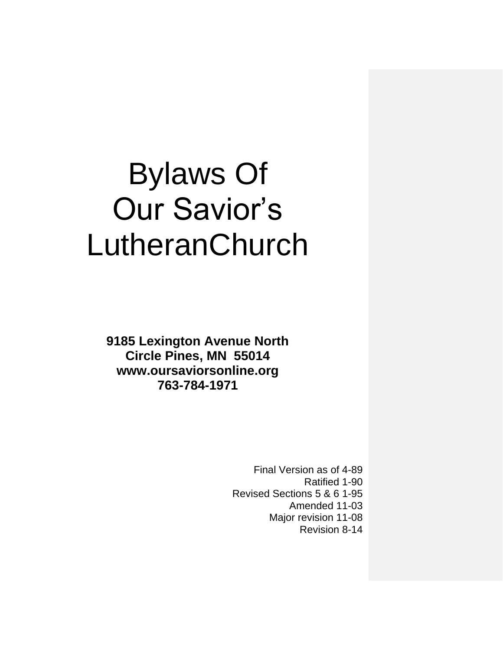# Bylaws Of Our Savior's LutheranChurch

**9185 Lexington Avenue North Circle Pines, MN 55014 www.oursaviorsonline.org 763-784-1971**

> Final Version as of 4-89 Ratified 1-90 Revised Sections 5 & 6 1-95 Amended 11-03 Major revision 11-08 Revision 8-14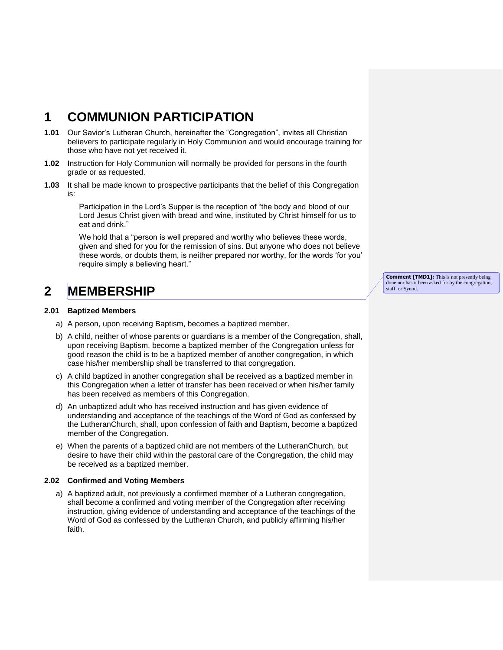## **1 COMMUNION PARTICIPATION**

- **1.01** Our Savior's Lutheran Church, hereinafter the "Congregation", invites all Christian believers to participate regularly in Holy Communion and would encourage training for those who have not yet received it.
- **1.02** Instruction for Holy Communion will normally be provided for persons in the fourth grade or as requested.
- **1.03** It shall be made known to prospective participants that the belief of this Congregation is:

Participation in the Lord's Supper is the reception of "the body and blood of our Lord Jesus Christ given with bread and wine, instituted by Christ himself for us to eat and drink."

We hold that a "person is well prepared and worthy who believes these words, given and shed for you for the remission of sins. But anyone who does not believe these words, or doubts them, is neither prepared nor worthy, for the words 'for you' require simply a believing heart."

# **2 MEMBERSHIP**

#### **2.01 Baptized Members**

- a) A person, upon receiving Baptism, becomes a baptized member.
- b) A child, neither of whose parents or guardians is a member of the Congregation, shall, upon receiving Baptism, become a baptized member of the Congregation unless for good reason the child is to be a baptized member of another congregation, in which case his/her membership shall be transferred to that congregation.
- c) A child baptized in another congregation shall be received as a baptized member in this Congregation when a letter of transfer has been received or when his/her family has been received as members of this Congregation.
- d) An unbaptized adult who has received instruction and has given evidence of understanding and acceptance of the teachings of the Word of God as confessed by the LutheranChurch, shall, upon confession of faith and Baptism, become a baptized member of the Congregation.
- e) When the parents of a baptized child are not members of the LutheranChurch, but desire to have their child within the pastoral care of the Congregation, the child may be received as a baptized member.

#### **2.02 Confirmed and Voting Members**

a) A baptized adult, not previously a confirmed member of a Lutheran congregation, shall become a confirmed and voting member of the Congregation after receiving instruction, giving evidence of understanding and acceptance of the teachings of the Word of God as confessed by the Lutheran Church, and publicly affirming his/her faith.

**Comment [TMD1]:** This is not presently being done nor has it been asked for by the congregation, staff, or Synod.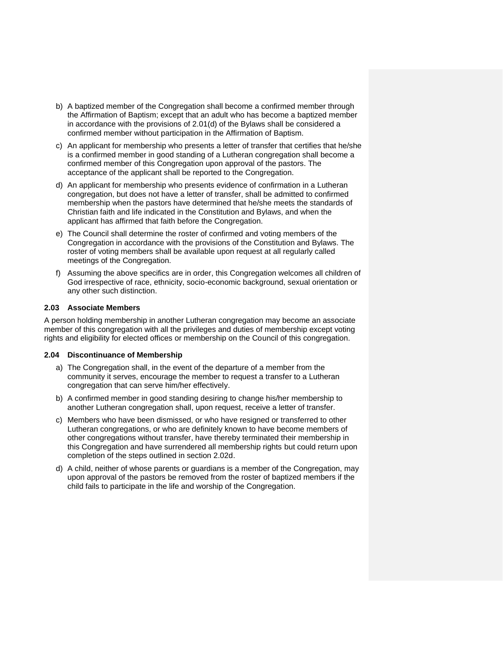- b) A baptized member of the Congregation shall become a confirmed member through the Affirmation of Baptism; except that an adult who has become a baptized member in accordance with the provisions of 2.01(d) of the Bylaws shall be considered a confirmed member without participation in the Affirmation of Baptism.
- c) An applicant for membership who presents a letter of transfer that certifies that he/she is a confirmed member in good standing of a Lutheran congregation shall become a confirmed member of this Congregation upon approval of the pastors. The acceptance of the applicant shall be reported to the Congregation.
- d) An applicant for membership who presents evidence of confirmation in a Lutheran congregation, but does not have a letter of transfer, shall be admitted to confirmed membership when the pastors have determined that he/she meets the standards of Christian faith and life indicated in the Constitution and Bylaws, and when the applicant has affirmed that faith before the Congregation.
- e) The Council shall determine the roster of confirmed and voting members of the Congregation in accordance with the provisions of the Constitution and Bylaws. The roster of voting members shall be available upon request at all regularly called meetings of the Congregation.
- f) Assuming the above specifics are in order, this Congregation welcomes all children of God irrespective of race, ethnicity, socio-economic background, sexual orientation or any other such distinction.

#### **2.03 Associate Members**

A person holding membership in another Lutheran congregation may become an associate member of this congregation with all the privileges and duties of membership except voting rights and eligibility for elected offices or membership on the Council of this congregation.

#### **2.04 Discontinuance of Membership**

- a) The Congregation shall, in the event of the departure of a member from the community it serves, encourage the member to request a transfer to a Lutheran congregation that can serve him/her effectively.
- b) A confirmed member in good standing desiring to change his/her membership to another Lutheran congregation shall, upon request, receive a letter of transfer.
- c) Members who have been dismissed, or who have resigned or transferred to other Lutheran congregations, or who are definitely known to have become members of other congregations without transfer, have thereby terminated their membership in this Congregation and have surrendered all membership rights but could return upon completion of the steps outlined in section 2.02d.
- d) A child, neither of whose parents or guardians is a member of the Congregation, may upon approval of the pastors be removed from the roster of baptized members if the child fails to participate in the life and worship of the Congregation.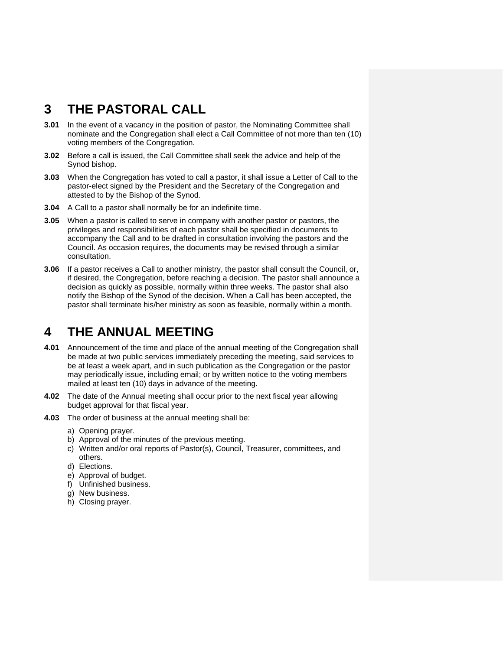## **3 THE PASTORAL CALL**

- **3.01** In the event of a vacancy in the position of pastor, the Nominating Committee shall nominate and the Congregation shall elect a Call Committee of not more than ten (10) voting members of the Congregation.
- **3.02** Before a call is issued, the Call Committee shall seek the advice and help of the Synod bishop.
- **3.03** When the Congregation has voted to call a pastor, it shall issue a Letter of Call to the pastor-elect signed by the President and the Secretary of the Congregation and attested to by the Bishop of the Synod.
- **3.04** A Call to a pastor shall normally be for an indefinite time.
- **3.05** When a pastor is called to serve in company with another pastor or pastors, the privileges and responsibilities of each pastor shall be specified in documents to accompany the Call and to be drafted in consultation involving the pastors and the Council. As occasion requires, the documents may be revised through a similar consultation.
- **3.06** If a pastor receives a Call to another ministry, the pastor shall consult the Council, or, if desired, the Congregation, before reaching a decision. The pastor shall announce a decision as quickly as possible, normally within three weeks. The pastor shall also notify the Bishop of the Synod of the decision. When a Call has been accepted, the pastor shall terminate his/her ministry as soon as feasible, normally within a month.

### **4 THE ANNUAL MEETING**

- **4.01** Announcement of the time and place of the annual meeting of the Congregation shall be made at two public services immediately preceding the meeting, said services to be at least a week apart, and in such publication as the Congregation or the pastor may periodically issue, including email; or by written notice to the voting members mailed at least ten (10) days in advance of the meeting.
- **4.02** The date of the Annual meeting shall occur prior to the next fiscal year allowing budget approval for that fiscal year.
- **4.03** The order of business at the annual meeting shall be:
	- a) Opening prayer.
	- b) Approval of the minutes of the previous meeting.
	- c) Written and/or oral reports of Pastor(s), Council, Treasurer, committees, and others.
	- d) Elections.
	- e) Approval of budget.
	- f) Unfinished business.
	- g) New business.
	- h) Closing prayer.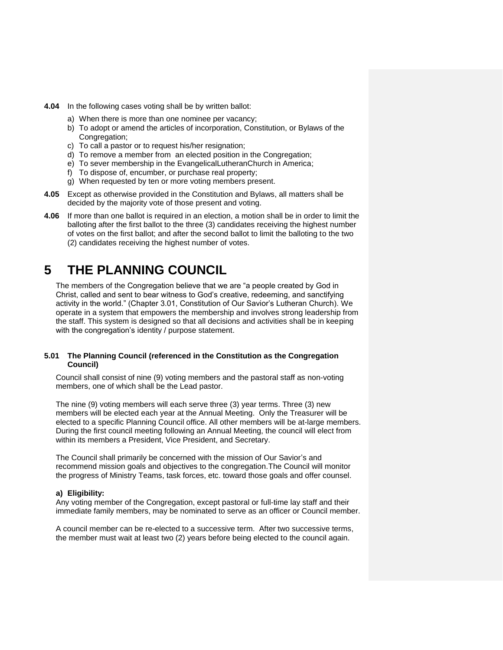- **4.04** In the following cases voting shall be by written ballot:
	- a) When there is more than one nominee per vacancy;
	- b) To adopt or amend the articles of incorporation, Constitution, or Bylaws of the Congregation;
	- c) To call a pastor or to request his/her resignation;
	- d) To remove a member from an elected position in the Congregation;
	- e) To sever membership in the EvangelicalLutheranChurch in America;
	- f) To dispose of, encumber, or purchase real property;
	- g) When requested by ten or more voting members present.
- **4.05** Except as otherwise provided in the Constitution and Bylaws, all matters shall be decided by the majority vote of those present and voting.
- **4.06** If more than one ballot is required in an election, a motion shall be in order to limit the balloting after the first ballot to the three (3) candidates receiving the highest number of votes on the first ballot; and after the second ballot to limit the balloting to the two (2) candidates receiving the highest number of votes.

# **5 THE PLANNING COUNCIL**

The members of the Congregation believe that we are "a people created by God in Christ, called and sent to bear witness to God's creative, redeeming, and sanctifying activity in the world." (Chapter 3.01, Constitution of Our Savior's Lutheran Church). We operate in a system that empowers the membership and involves strong leadership from the staff. This system is designed so that all decisions and activities shall be in keeping with the congregation's identity / purpose statement.

#### **5.01 The Planning Council (referenced in the Constitution as the Congregation Council)**

Council shall consist of nine (9) voting members and the pastoral staff as non-voting members, one of which shall be the Lead pastor.

The nine (9) voting members will each serve three (3) year terms. Three (3) new members will be elected each year at the Annual Meeting. Only the Treasurer will be elected to a specific Planning Council office. All other members will be at-large members. During the first council meeting following an Annual Meeting, the council will elect from within its members a President, Vice President, and Secretary.

The Council shall primarily be concerned with the mission of Our Savior's and recommend mission goals and objectives to the congregation.The Council will monitor the progress of Ministry Teams, task forces, etc. toward those goals and offer counsel.

#### **a) Eligibility:**

Any voting member of the Congregation, except pastoral or full-time lay staff and their immediate family members, may be nominated to serve as an officer or Council member.

A council member can be re-elected to a successive term. After two successive terms, the member must wait at least two (2) years before being elected to the council again.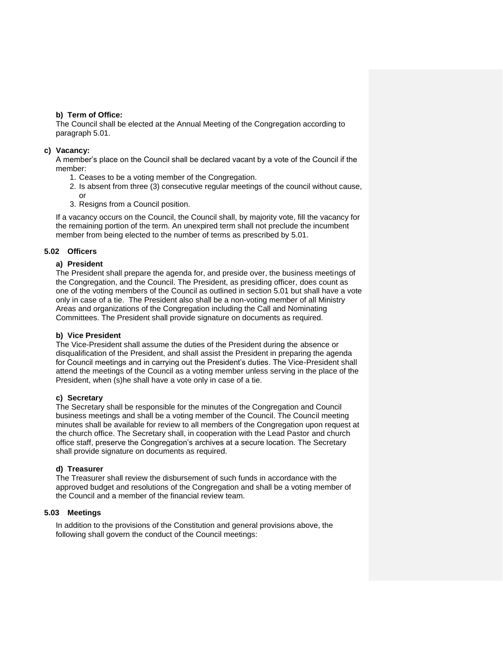#### **b) Term of Office:**

The Council shall be elected at the Annual Meeting of the Congregation according to paragraph 5.01.

#### **c) Vacancy:**

A member's place on the Council shall be declared vacant by a vote of the Council if the member:

- 1. Ceases to be a voting member of the Congregation.
- 2. Is absent from three (3) consecutive regular meetings of the council without cause, or
- 3. Resigns from a Council position.

If a vacancy occurs on the Council, the Council shall, by majority vote, fill the vacancy for the remaining portion of the term. An unexpired term shall not preclude the incumbent member from being elected to the number of terms as prescribed by 5.01.

#### **5.02 Officers**

#### **a) President**

The President shall prepare the agenda for, and preside over, the business meetings of the Congregation, and the Council. The President, as presiding officer, does count as one of the voting members of the Council as outlined in section 5.01 but shall have a vote only in case of a tie. The President also shall be a non-voting member of all Ministry Areas and organizations of the Congregation including the Call and Nominating Committees. The President shall provide signature on documents as required.

#### **b) Vice President**

The Vice-President shall assume the duties of the President during the absence or disqualification of the President, and shall assist the President in preparing the agenda for Council meetings and in carrying out the President's duties. The Vice-President shall attend the meetings of the Council as a voting member unless serving in the place of the President, when (s)he shall have a vote only in case of a tie.

#### **c) Secretary**

The Secretary shall be responsible for the minutes of the Congregation and Council business meetings and shall be a voting member of the Council. The Council meeting minutes shall be available for review to all members of the Congregation upon request at the church office. The Secretary shall, in cooperation with the Lead Pastor and church office staff, preserve the Congregation's archives at a secure location. The Secretary shall provide signature on documents as required.

#### **d) Treasurer**

The Treasurer shall review the disbursement of such funds in accordance with the approved budget and resolutions of the Congregation and shall be a voting member of the Council and a member of the financial review team.

#### **5.03 Meetings**

In addition to the provisions of the Constitution and general provisions above, the following shall govern the conduct of the Council meetings: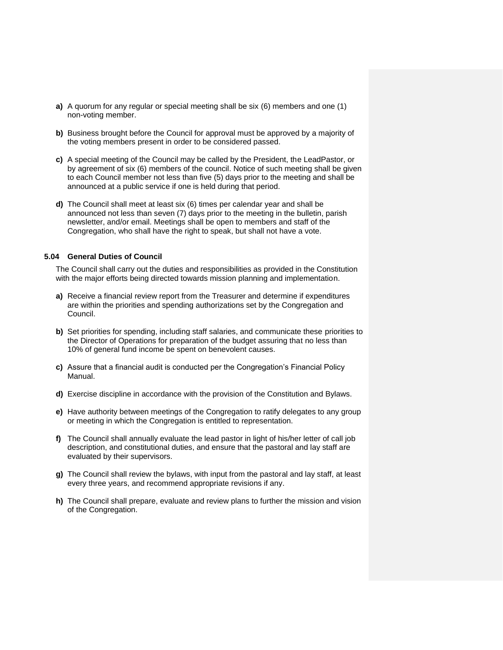- **a)** A quorum for any regular or special meeting shall be six (6) members and one (1) non-voting member.
- **b)** Business brought before the Council for approval must be approved by a majority of the voting members present in order to be considered passed.
- **c)** A special meeting of the Council may be called by the President, the LeadPastor, or by agreement of six (6) members of the council. Notice of such meeting shall be given to each Council member not less than five (5) days prior to the meeting and shall be announced at a public service if one is held during that period.
- **d)** The Council shall meet at least six (6) times per calendar year and shall be announced not less than seven (7) days prior to the meeting in the bulletin, parish newsletter, and/or email. Meetings shall be open to members and staff of the Congregation, who shall have the right to speak, but shall not have a vote.

#### **5.04 General Duties of Council**

The Council shall carry out the duties and responsibilities as provided in the Constitution with the major efforts being directed towards mission planning and implementation.

- **a)** Receive a financial review report from the Treasurer and determine if expenditures are within the priorities and spending authorizations set by the Congregation and Council.
- **b)** Set priorities for spending, including staff salaries, and communicate these priorities to the Director of Operations for preparation of the budget assuring that no less than 10% of general fund income be spent on benevolent causes.
- **c)** Assure that a financial audit is conducted per the Congregation's Financial Policy Manual.
- **d)** Exercise discipline in accordance with the provision of the Constitution and Bylaws.
- **e)** Have authority between meetings of the Congregation to ratify delegates to any group or meeting in which the Congregation is entitled to representation.
- **f)** The Council shall annually evaluate the lead pastor in light of his/her letter of call job description, and constitutional duties, and ensure that the pastoral and lay staff are evaluated by their supervisors.
- **g)** The Council shall review the bylaws, with input from the pastoral and lay staff, at least every three years, and recommend appropriate revisions if any.
- **h)** The Council shall prepare, evaluate and review plans to further the mission and vision of the Congregation.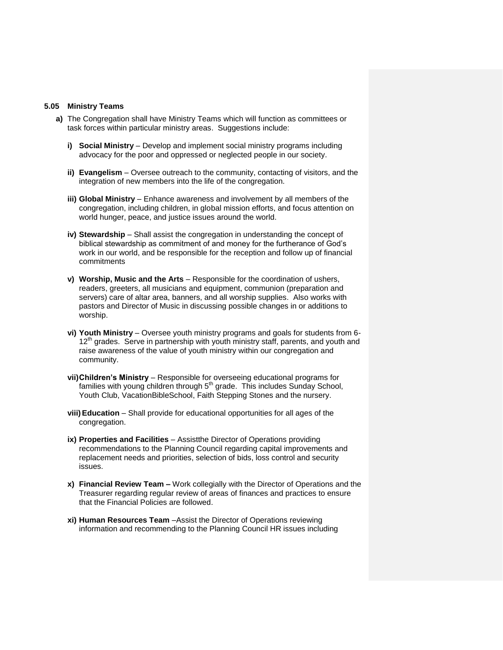#### **5.05 Ministry Teams**

- **a)** The Congregation shall have Ministry Teams which will function as committees or task forces within particular ministry areas. Suggestions include:
	- **i) Social Ministry** Develop and implement social ministry programs including advocacy for the poor and oppressed or neglected people in our society.
	- **ii) Evangelism** Oversee outreach to the community, contacting of visitors, and the integration of new members into the life of the congregation.
	- **iii) Global Ministry** Enhance awareness and involvement by all members of the congregation, including children, in global mission efforts, and focus attention on world hunger, peace, and justice issues around the world.
	- **iv) Stewardship** Shall assist the congregation in understanding the concept of biblical stewardship as commitment of and money for the furtherance of God's work in our world, and be responsible for the reception and follow up of financial commitments
	- **v) Worship, Music and the Arts** Responsible for the coordination of ushers, readers, greeters, all musicians and equipment, communion (preparation and servers) care of altar area, banners, and all worship supplies. Also works with pastors and Director of Music in discussing possible changes in or additions to worship.
	- **vi) Youth Ministry** Oversee youth ministry programs and goals for students from 6-  $12<sup>th</sup>$  grades. Serve in partnership with youth ministry staff, parents, and youth and raise awareness of the value of youth ministry within our congregation and community.
	- **vii)Children's Ministry** Responsible for overseeing educational programs for families with young children through  $5<sup>th</sup>$  grade. This includes Sunday School, Youth Club, VacationBibleSchool, Faith Stepping Stones and the nursery.
	- **viii)Education** Shall provide for educational opportunities for all ages of the congregation.
	- **ix) Properties and Facilities**  Assistthe Director of Operations providing recommendations to the Planning Council regarding capital improvements and replacement needs and priorities, selection of bids, loss control and security issues.
	- **x) Financial Review Team –** Work collegially with the Director of Operations and the Treasurer regarding regular review of areas of finances and practices to ensure that the Financial Policies are followed.
	- **xi) Human Resources Team** –Assist the Director of Operations reviewing information and recommending to the Planning Council HR issues including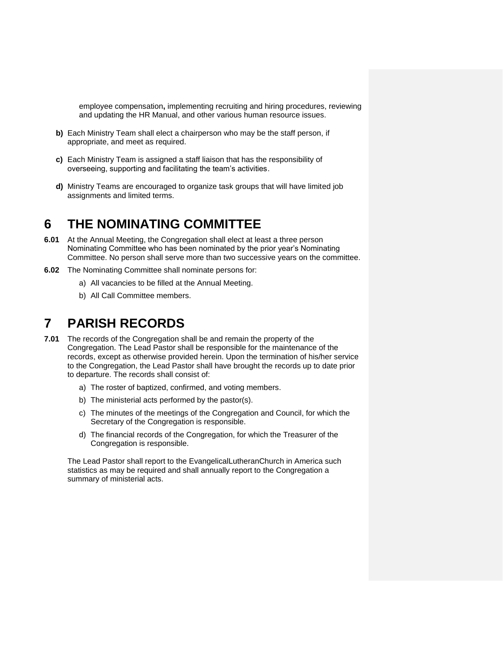employee compensation**,** implementing recruiting and hiring procedures, reviewing and updating the HR Manual, and other various human resource issues.

- **b)** Each Ministry Team shall elect a chairperson who may be the staff person, if appropriate, and meet as required.
- **c)** Each Ministry Team is assigned a staff liaison that has the responsibility of overseeing, supporting and facilitating the team's activities.
- **d)** Ministry Teams are encouraged to organize task groups that will have limited job assignments and limited terms.

## **6 THE NOMINATING COMMITTEE**

- **6.01** At the Annual Meeting, the Congregation shall elect at least a three person Nominating Committee who has been nominated by the prior year's Nominating Committee. No person shall serve more than two successive years on the committee.
- **6.02** The Nominating Committee shall nominate persons for:
	- a) All vacancies to be filled at the Annual Meeting.
	- b) All Call Committee members.

## **7 PARISH RECORDS**

- **7.01** The records of the Congregation shall be and remain the property of the Congregation. The Lead Pastor shall be responsible for the maintenance of the records, except as otherwise provided herein. Upon the termination of his/her service to the Congregation, the Lead Pastor shall have brought the records up to date prior to departure. The records shall consist of:
	- a) The roster of baptized, confirmed, and voting members.
	- b) The ministerial acts performed by the pastor(s).
	- c) The minutes of the meetings of the Congregation and Council, for which the Secretary of the Congregation is responsible.
	- d) The financial records of the Congregation, for which the Treasurer of the Congregation is responsible.

The Lead Pastor shall report to the EvangelicalLutheranChurch in America such statistics as may be required and shall annually report to the Congregation a summary of ministerial acts.